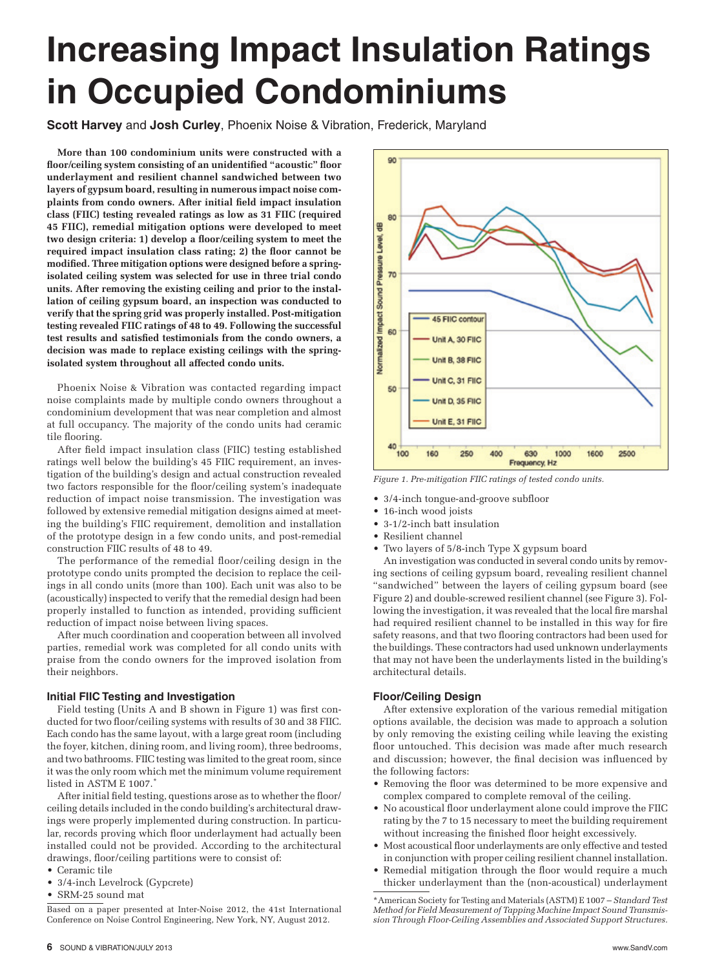# **Increasing Impact Insulation Ratings in Occupied Condominiums**

**Scott Harvey** and **Josh Curley**, Phoenix Noise & Vibration, Frederick, Maryland

**More than 100 condominium units were constructed with a floor/ceiling system consisting of an unidentified "acoustic" floor underlayment and resilient channel sandwiched between two layers of gypsum board, resulting in numerous impact noise complaints from condo owners. After initial field impact insulation class (FIIC) testing revealed ratings as low as 31 FIIC (required 45 FIIC), remedial mitigation options were developed to meet two design criteria: 1) develop a floor/ceiling system to meet the required impact insulation class rating; 2) the floor cannot be modified. Three mitigation options were designed before a springisolated ceiling system was selected for use in three trial condo units. After removing the existing ceiling and prior to the installation of ceiling gypsum board, an inspection was conducted to verify that the spring grid was properly installed. Post-mitigation testing revealed FIIC ratings of 48 to 49. Following the successful test results and satisfied testimonials from the condo owners, a decision was made to replace existing ceilings with the springisolated system throughout all affected condo units.**

Phoenix Noise & Vibration was contacted regarding impact noise complaints made by multiple condo owners throughout a condominium development that was near completion and almost at full occupancy. The majority of the condo units had ceramic tile flooring.

After field impact insulation class (FIIC) testing established ratings well below the building's 45 FIIC requirement, an investigation of the building's design and actual construction revealed two factors responsible for the floor/ceiling system's inadequate reduction of impact noise transmission. The investigation was followed by extensive remedial mitigation designs aimed at meeting the building's FIIC requirement, demolition and installation of the prototype design in a few condo units, and post-remedial construction FIIC results of 48 to 49.

The performance of the remedial floor/ceiling design in the prototype condo units prompted the decision to replace the ceilings in all condo units (more than 100). Each unit was also to be (acoustically) inspected to verify that the remedial design had been properly installed to function as intended, providing sufficient reduction of impact noise between living spaces.

After much coordination and cooperation between all involved parties, remedial work was completed for all condo units with praise from the condo owners for the improved isolation from their neighbors.

# **Initial FIIC Testing and Investigation**

Field testing (Units A and B shown in Figure 1) was first conducted for two floor/ceiling systems with results of 30 and 38 FIIC. Each condo has the same layout, with a large great room (including the foyer, kitchen, dining room, and living room), three bedrooms, and two bathrooms. FIIC testing was limited to the great room, since it was the only room which met the minimum volume requirement listed in ASTM E 1007.

After initial field testing, questions arose as to whether the floor/ ceiling details included in the condo building's architectural drawings were properly implemented during construction. In particular, records proving which floor underlayment had actually been installed could not be provided. According to the architectural drawings, floor/ceiling partitions were to consist of:

- • Ceramic tile
- • 3/4-inch Levelrock (Gypcrete)
- • SRM-25 sound mat

Based on a paper presented at Inter-Noise 2012, the 41st International Conference on Noise Control Engineering, New York, NY, August 2012.



*Figure 1. Pre-mitigation FIIC ratings of tested condo units.*

- • 3/4-inch tongue-and-groove subfloor
- 16-inch wood joists
- 3-1/2-inch batt insulation
- • Resilient channel
- Two layers of 5/8-inch Type X gypsum board

An investigation was conducted in several condo units by removing sections of ceiling gypsum board, revealing resilient channel "sandwiched" between the layers of ceiling gypsum board (see Figure 2) and double-screwed resilient channel (see Figure 3). Following the investigation, it was revealed that the local fire marshal had required resilient channel to be installed in this way for fire safety reasons, and that two flooring contractors had been used for the buildings. These contractors had used unknown underlayments that may not have been the underlayments listed in the building's architectural details.

# **Floor/Ceiling Design**

After extensive exploration of the various remedial mitigation options available, the decision was made to approach a solution by only removing the existing ceiling while leaving the existing floor untouched. This decision was made after much research and discussion; however, the final decision was influenced by the following factors:

- Removing the floor was determined to be more expensive and complex compared to complete removal of the ceiling.
- • No acoustical floor underlayment alone could improve the FIIC rating by the 7 to 15 necessary to meet the building requirement without increasing the finished floor height excessively.
- • Most acoustical floor underlayments are only effective and tested in conjunction with proper ceiling resilient channel installation.
- Remedial mitigation through the floor would require a much thicker underlayment than the (non-acoustical) underlayment

<sup>\*</sup>American Society for Testing and Materials (ASTM) E 1007 – *Standard Test Method for Field Measurement of Tapping Machine Impact Sound Transmission Through Floor-Ceiling Assemblies and Associated Support Structures.*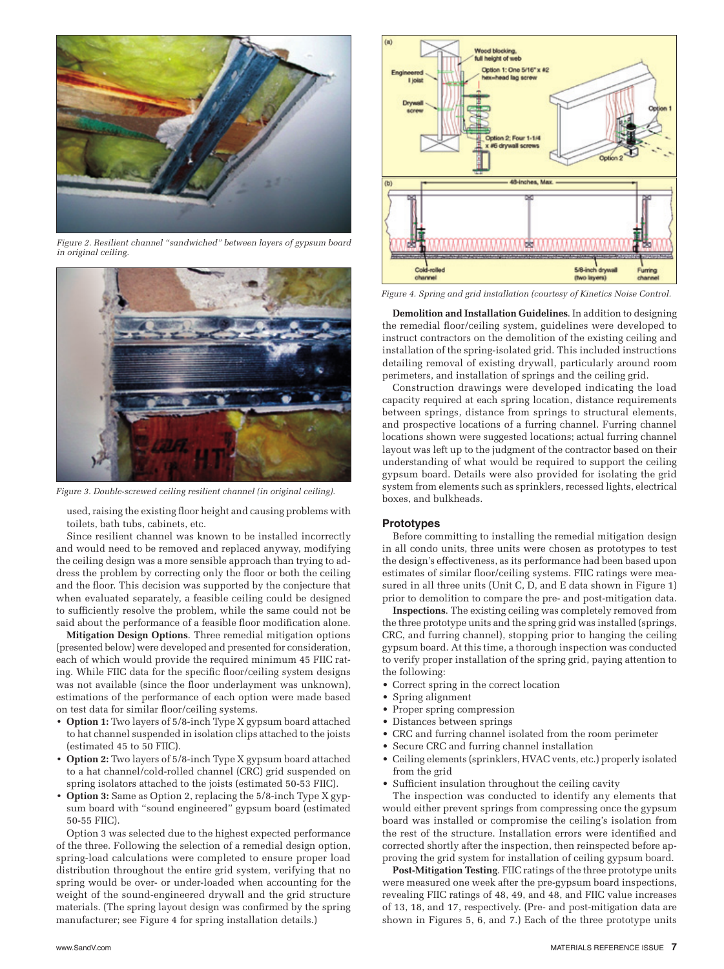

*Figure 2. Resilient channel "sandwiched" between layers of gypsum board in original ceiling.*



*Figure 3. Double-screwed ceiling resilient channel (in original ceiling).*

used, raising the existing floor height and causing problems with toilets, bath tubs, cabinets, etc.

Since resilient channel was known to be installed incorrectly and would need to be removed and replaced anyway, modifying the ceiling design was a more sensible approach than trying to address the problem by correcting only the floor or both the ceiling and the floor. This decision was supported by the conjecture that when evaluated separately, a feasible ceiling could be designed to sufficiently resolve the problem, while the same could not be said about the performance of a feasible floor modification alone.

**Mitigation Design Options**. Three remedial mitigation options (presented below) were developed and presented for consideration, each of which would provide the required minimum 45 FIIC rating. While FIIC data for the specific floor/ceiling system designs was not available (since the floor underlayment was unknown), estimations of the performance of each option were made based on test data for similar floor/ceiling systems.

- **• Option 1:** Two layers of 5/8-inch Type X gypsum board attached to hat channel suspended in isolation clips attached to the joists (estimated 45 to 50 FIIC).
- **• Option 2:** Two layers of 5/8-inch Type X gypsum board attached to a hat channel/cold-rolled channel (CRC) grid suspended on spring isolators attached to the joists (estimated 50-53 FIIC).
- **• Option 3:** Same as Option 2, replacing the 5/8-inch Type X gypsum board with "sound engineered" gypsum board (estimated 50-55 FIIC).

Option 3 was selected due to the highest expected performance of the three. Following the selection of a remedial design option, spring-load calculations were completed to ensure proper load distribution throughout the entire grid system, verifying that no spring would be over- or under-loaded when accounting for the weight of the sound-engineered drywall and the grid structure materials. (The spring layout design was confirmed by the spring manufacturer; see Figure 4 for spring installation details.)



*Figure 4. Spring and grid installation (courtesy of Kinetics Noise Control.*

**Demolition and Installation Guidelines**. In addition to designing the remedial floor/ceiling system, guidelines were developed to instruct contractors on the demolition of the existing ceiling and installation of the spring-isolated grid. This included instructions detailing removal of existing drywall, particularly around room perimeters, and installation of springs and the ceiling grid.

Construction drawings were developed indicating the load capacity required at each spring location, distance requirements between springs, distance from springs to structural elements, and prospective locations of a furring channel. Furring channel locations shown were suggested locations; actual furring channel layout was left up to the judgment of the contractor based on their understanding of what would be required to support the ceiling gypsum board. Details were also provided for isolating the grid system from elements such as sprinklers, recessed lights, electrical boxes, and bulkheads.

### **Prototypes**

Before committing to installing the remedial mitigation design in all condo units, three units were chosen as prototypes to test the design's effectiveness, as its performance had been based upon estimates of similar floor/ceiling systems. FIIC ratings were measured in all three units (Unit C, D, and E data shown in Figure 1) prior to demolition to compare the pre- and post-mitigation data.

**Inspections**. The existing ceiling was completely removed from the three prototype units and the spring grid was installed (springs, CRC, and furring channel), stopping prior to hanging the ceiling gypsum board. At this time, a thorough inspection was conducted to verify proper installation of the spring grid, paying attention to the following:

- • Correct spring in the correct location
- Spring alignment
- • Proper spring compression
- • Distances between springs
- • CRC and furring channel isolated from the room perimeter
- • Secure CRC and furring channel installation
- • Ceiling elements (sprinklers, HVAC vents, etc.) properly isolated from the grid
- • Sufficient insulation throughout the ceiling cavity

The inspection was conducted to identify any elements that would either prevent springs from compressing once the gypsum board was installed or compromise the ceiling's isolation from the rest of the structure. Installation errors were identified and corrected shortly after the inspection, then reinspected before approving the grid system for installation of ceiling gypsum board.

**Post-Mitigation Testing**. FIIC ratings of the three prototype units were measured one week after the pre-gypsum board inspections, revealing FIIC ratings of 48, 49, and 48, and FIIC value increases of 13, 18, and 17, respectively. (Pre- and post-mitigation data are shown in Figures 5, 6, and 7.) Each of the three prototype units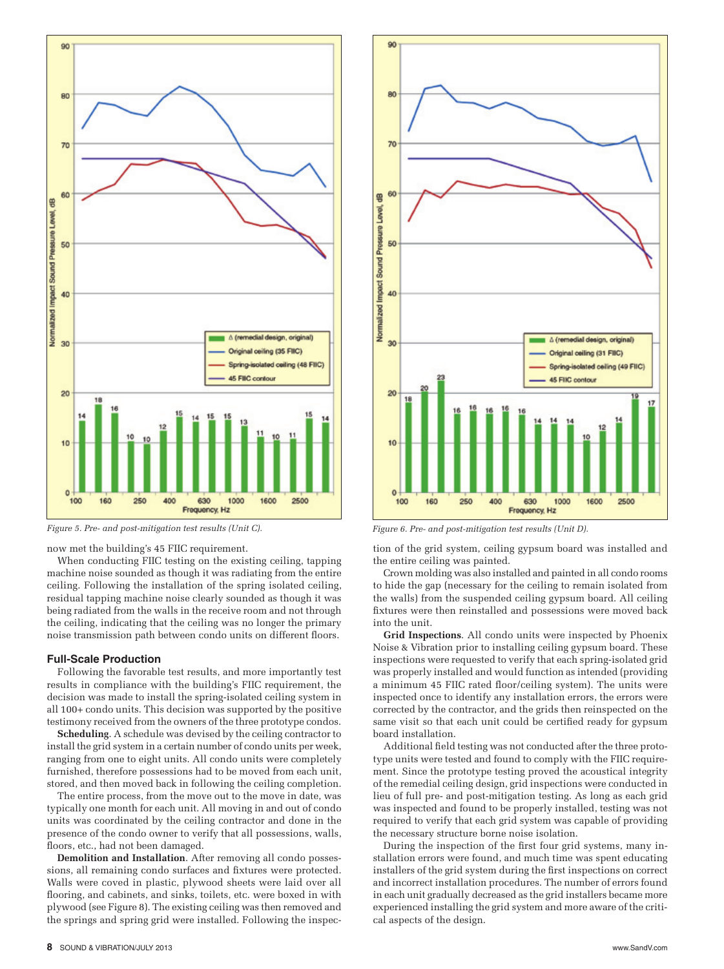

now met the building's 45 FIIC requirement.

When conducting FIIC testing on the existing ceiling, tapping machine noise sounded as though it was radiating from the entire ceiling. Following the installation of the spring isolated ceiling, residual tapping machine noise clearly sounded as though it was being radiated from the walls in the receive room and not through the ceiling, indicating that the ceiling was no longer the primary noise transmission path between condo units on different floors.

## **Full-Scale Production**

Following the favorable test results, and more importantly test results in compliance with the building's FIIC requirement, the decision was made to install the spring-isolated ceiling system in all 100+ condo units. This decision was supported by the positive testimony received from the owners of the three prototype condos.

**Scheduling**. A schedule was devised by the ceiling contractor to install the grid system in a certain number of condo units per week, ranging from one to eight units. All condo units were completely furnished, therefore possessions had to be moved from each unit, stored, and then moved back in following the ceiling completion.

The entire process, from the move out to the move in date, was typically one month for each unit. All moving in and out of condo units was coordinated by the ceiling contractor and done in the presence of the condo owner to verify that all possessions, walls, floors, etc., had not been damaged.

**Demolition and Installation**. After removing all condo possessions, all remaining condo surfaces and fixtures were protected. Walls were coved in plastic, plywood sheets were laid over all flooring, and cabinets, and sinks, toilets, etc. were boxed in with plywood (see Figure 8). The existing ceiling was then removed and the springs and spring grid were installed. Following the inspec-



*Figure 5. Pre- and post-mitigation test results (Unit C). Figure 6. Pre- and post-mitigation test results (Unit D).*

tion of the grid system, ceiling gypsum board was installed and the entire ceiling was painted.

Crown molding was also installed and painted in all condo rooms to hide the gap (necessary for the ceiling to remain isolated from the walls) from the suspended ceiling gypsum board. All ceiling fixtures were then reinstalled and possessions were moved back into the unit.

**Grid Inspections**. All condo units were inspected by Phoenix Noise & Vibration prior to installing ceiling gypsum board. These inspections were requested to verify that each spring-isolated grid was properly installed and would function as intended (providing a minimum 45 FIIC rated floor/ceiling system). The units were inspected once to identify any installation errors, the errors were corrected by the contractor, and the grids then reinspected on the same visit so that each unit could be certified ready for gypsum board installation.

Additional field testing was not conducted after the three prototype units were tested and found to comply with the FIIC requirement. Since the prototype testing proved the acoustical integrity of the remedial ceiling design, grid inspections were conducted in lieu of full pre- and post-mitigation testing. As long as each grid was inspected and found to be properly installed, testing was not required to verify that each grid system was capable of providing the necessary structure borne noise isolation.

During the inspection of the first four grid systems, many installation errors were found, and much time was spent educating installers of the grid system during the first inspections on correct and incorrect installation procedures. The number of errors found in each unit gradually decreased as the grid installers became more experienced installing the grid system and more aware of the critical aspects of the design.